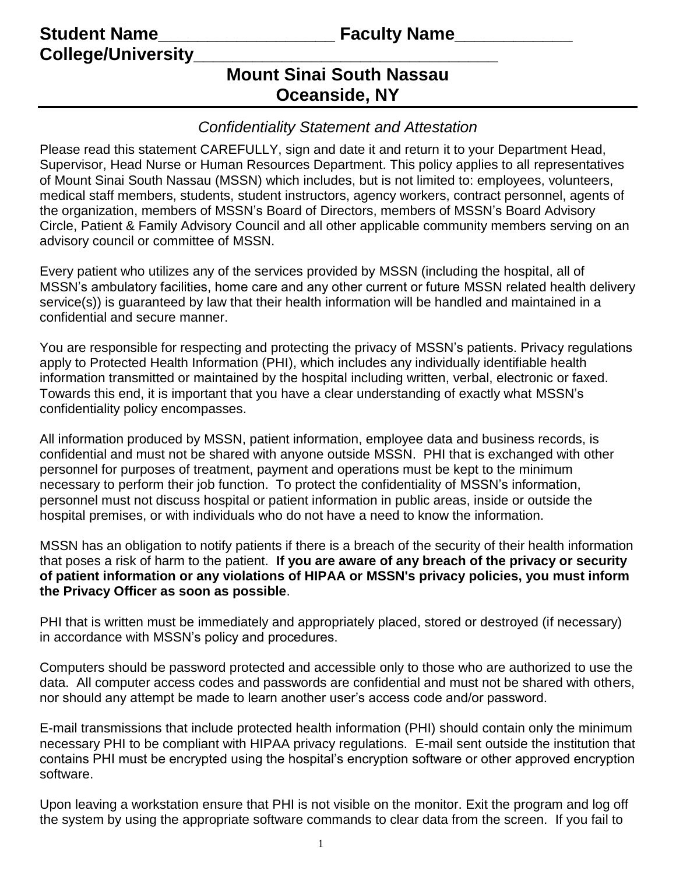**Student Name** <br> **Student Name College/University\_\_\_\_\_\_\_\_\_\_\_\_\_\_\_\_\_\_\_\_\_\_\_\_\_\_\_\_\_\_\_**

# **Mount Sinai South Nassau Oceanside, NY**

## *Confidentiality Statement and Attestation*

Please read this statement CAREFULLY, sign and date it and return it to your Department Head, Supervisor, Head Nurse or Human Resources Department. This policy applies to all representatives of Mount Sinai South Nassau (MSSN) which includes, but is not limited to: employees, volunteers, medical staff members, students, student instructors, agency workers, contract personnel, agents of the organization, members of MSSN's Board of Directors, members of MSSN's Board Advisory Circle, Patient & Family Advisory Council and all other applicable community members serving on an advisory council or committee of MSSN.

Every patient who utilizes any of the services provided by MSSN (including the hospital, all of MSSN's ambulatory facilities, home care and any other current or future MSSN related health delivery service(s)) is guaranteed by law that their health information will be handled and maintained in a confidential and secure manner.

You are responsible for respecting and protecting the privacy of MSSN's patients. Privacy regulations apply to Protected Health Information (PHI), which includes any individually identifiable health information transmitted or maintained by the hospital including written, verbal, electronic or faxed. Towards this end, it is important that you have a clear understanding of exactly what MSSN's confidentiality policy encompasses.

All information produced by MSSN, patient information, employee data and business records, is confidential and must not be shared with anyone outside MSSN. PHI that is exchanged with other personnel for purposes of treatment, payment and operations must be kept to the minimum necessary to perform their job function. To protect the confidentiality of MSSN's information, personnel must not discuss hospital or patient information in public areas, inside or outside the hospital premises, or with individuals who do not have a need to know the information.

MSSN has an obligation to notify patients if there is a breach of the security of their health information that poses a risk of harm to the patient. **If you are aware of any breach of the privacy or security of patient information or any violations of HIPAA or MSSN's privacy policies, you must inform the Privacy Officer as soon as possible**.

PHI that is written must be immediately and appropriately placed, stored or destroyed (if necessary) in accordance with MSSN's policy and procedures.

Computers should be password protected and accessible only to those who are authorized to use the data. All computer access codes and passwords are confidential and must not be shared with others, nor should any attempt be made to learn another user's access code and/or password.

E-mail transmissions that include protected health information (PHI) should contain only the minimum necessary PHI to be compliant with HIPAA privacy regulations. E-mail sent outside the institution that contains PHI must be encrypted using the hospital's encryption software or other approved encryption software.

Upon leaving a workstation ensure that PHI is not visible on the monitor. Exit the program and log off the system by using the appropriate software commands to clear data from the screen. If you fail to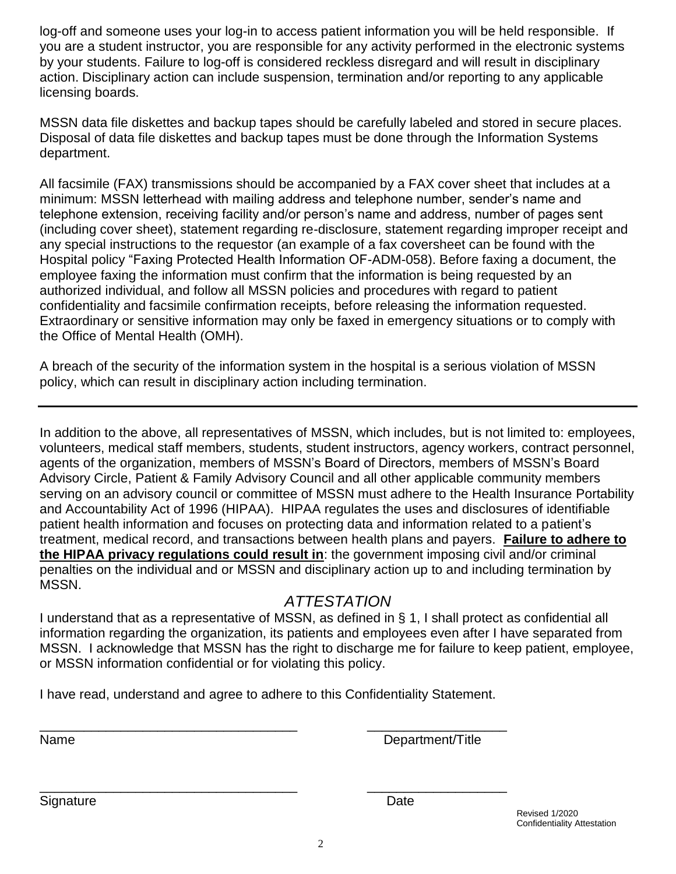log-off and someone uses your log-in to access patient information you will be held responsible. If you are a student instructor, you are responsible for any activity performed in the electronic systems by your students. Failure to log-off is considered reckless disregard and will result in disciplinary action. Disciplinary action can include suspension, termination and/or reporting to any applicable licensing boards.

MSSN data file diskettes and backup tapes should be carefully labeled and stored in secure places. Disposal of data file diskettes and backup tapes must be done through the Information Systems department.

All facsimile (FAX) transmissions should be accompanied by a FAX cover sheet that includes at a minimum: MSSN letterhead with mailing address and telephone number, sender's name and telephone extension, receiving facility and/or person's name and address, number of pages sent (including cover sheet), statement regarding re-disclosure, statement regarding improper receipt and any special instructions to the requestor (an example of a fax coversheet can be found with the Hospital policy "Faxing Protected Health Information OF-ADM-058). Before faxing a document, the employee faxing the information must confirm that the information is being requested by an authorized individual, and follow all MSSN policies and procedures with regard to patient confidentiality and facsimile confirmation receipts, before releasing the information requested. Extraordinary or sensitive information may only be faxed in emergency situations or to comply with the Office of Mental Health (OMH).

A breach of the security of the information system in the hospital is a serious violation of MSSN policy, which can result in disciplinary action including termination.

In addition to the above, all representatives of MSSN, which includes, but is not limited to: employees, volunteers, medical staff members, students, student instructors, agency workers, contract personnel, agents of the organization, members of MSSN's Board of Directors, members of MSSN's Board Advisory Circle, Patient & Family Advisory Council and all other applicable community members serving on an advisory council or committee of MSSN must adhere to the Health Insurance Portability and Accountability Act of 1996 (HIPAA). HIPAA regulates the uses and disclosures of identifiable patient health information and focuses on protecting data and information related to a patient's treatment, medical record, and transactions between health plans and payers. **Failure to adhere to the HIPAA privacy regulations could result in**: the government imposing civil and/or criminal penalties on the individual and or MSSN and disciplinary action up to and including termination by MSSN.

## *ATTESTATION*

I understand that as a representative of MSSN, as defined in § 1, I shall protect as confidential all information regarding the organization, its patients and employees even after I have separated from MSSN. I acknowledge that MSSN has the right to discharge me for failure to keep patient, employee, or MSSN information confidential or for violating this policy.

I have read, understand and agree to adhere to this Confidentiality Statement.

\_\_\_\_\_\_\_\_\_\_\_\_\_\_\_\_\_\_\_\_\_\_\_\_\_\_\_\_\_\_\_\_\_\_\_ \_\_\_\_\_\_\_\_\_\_\_\_\_\_\_\_\_\_\_

\_\_\_\_\_\_\_\_\_\_\_\_\_\_\_\_\_\_\_\_\_\_\_\_\_\_\_\_\_\_\_\_\_\_\_ \_\_\_\_\_\_\_\_\_\_\_\_\_\_\_\_\_\_\_ Name Department/Title

Signature Date **Date** 

Revised 1/2020 Confidentiality Attestation